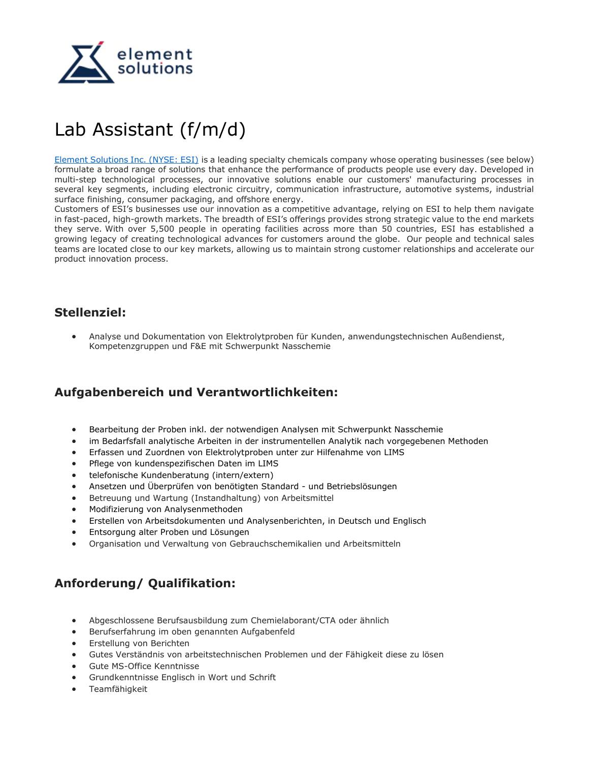

## Lab Assistant (f/m/d)

[Element Solutions Inc. \(NYSE: ESI\)](https://www.elementsolutionsinc.com/) is a leading specialty chemicals company whose operating businesses (see below) formulate a broad range of solutions that enhance the performance of products people use every day. Developed in multi-step technological processes, our innovative solutions enable our customers' manufacturing processes in several key segments, including electronic circuitry, communication infrastructure, automotive systems, industrial surface finishing, consumer packaging, and offshore energy.

Customers of ESI's businesses use our innovation as a competitive advantage, relying on ESI to help them navigate in fast-paced, high-growth markets. The breadth of ESI's offerings provides strong strategic value to the end markets they serve. With over 5,500 people in operating facilities across more than 50 countries, ESI has established a growing legacy of creating technological advances for customers around the globe. Our people and technical sales teams are located close to our key markets, allowing us to maintain strong customer relationships and accelerate our product innovation process.

## **Stellenziel:**

• Analyse und Dokumentation von Elektrolytproben für Kunden, anwendungstechnischen Außendienst, Kompetenzgruppen und F&E mit Schwerpunkt Nasschemie

## **Aufgabenbereich und Verantwortlichkeiten:**

- Bearbeitung der Proben inkl. der notwendigen Analysen mit Schwerpunkt Nasschemie
- im Bedarfsfall analytische Arbeiten in der instrumentellen Analytik nach vorgegebenen Methoden
- Erfassen und Zuordnen von Elektrolytproben unter zur Hilfenahme von LIMS
- Pflege von kundenspezifischen Daten im LIMS
- telefonische Kundenberatung (intern/extern)
- Ansetzen und Überprüfen von benötigten Standard und Betriebslösungen
- Betreuung und Wartung (Instandhaltung) von Arbeitsmittel
- Modifizierung von Analysenmethoden
- Erstellen von Arbeitsdokumenten und Analysenberichten, in Deutsch und Englisch
- Entsorgung alter Proben und Lösungen
- Organisation und Verwaltung von Gebrauchschemikalien und Arbeitsmitteln

## **Anforderung/ Qualifikation:**

- Abgeschlossene Berufsausbildung zum Chemielaborant/CTA oder ähnlich
- Berufserfahrung im oben genannten Aufgabenfeld
- Erstellung von Berichten
- Gutes Verständnis von arbeitstechnischen Problemen und der Fähigkeit diese zu lösen
- Gute MS-Office Kenntnisse
- Grundkenntnisse Englisch in Wort und Schrift
- Teamfähigkeit